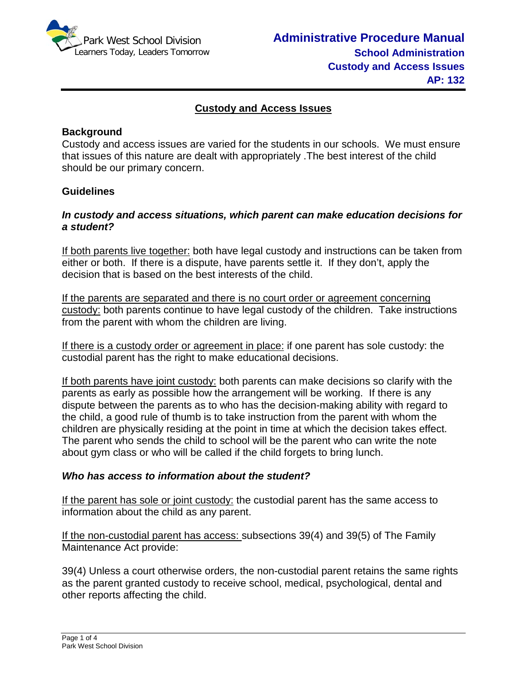

## **Custody and Access Issues**

## **Background**

Custody and access issues are varied for the students in our schools. We must ensure that issues of this nature are dealt with appropriately .The best interest of the child should be our primary concern.

#### **Guidelines**

# *In custody and access situations, which parent can make education decisions for a student?*

If both parents live together: both have legal custody and instructions can be taken from either or both. If there is a dispute, have parents settle it. If they don't, apply the decision that is based on the best interests of the child.

If the parents are separated and there is no court order or agreement concerning custody: both parents continue to have legal custody of the children. Take instructions from the parent with whom the children are living.

If there is a custody order or agreement in place: if one parent has sole custody: the custodial parent has the right to make educational decisions.

If both parents have joint custody: both parents can make decisions so clarify with the parents as early as possible how the arrangement will be working. If there is any dispute between the parents as to who has the decision-making ability with regard to the child, a good rule of thumb is to take instruction from the parent with whom the children are physically residing at the point in time at which the decision takes effect. The parent who sends the child to school will be the parent who can write the note about gym class or who will be called if the child forgets to bring lunch.

#### *Who has access to information about the student?*

If the parent has sole or joint custody: the custodial parent has the same access to information about the child as any parent.

If the non-custodial parent has access: subsections 39(4) and 39(5) of The Family Maintenance Act provide:

39(4) Unless a court otherwise orders, the non-custodial parent retains the same rights as the parent granted custody to receive school, medical, psychological, dental and other reports affecting the child.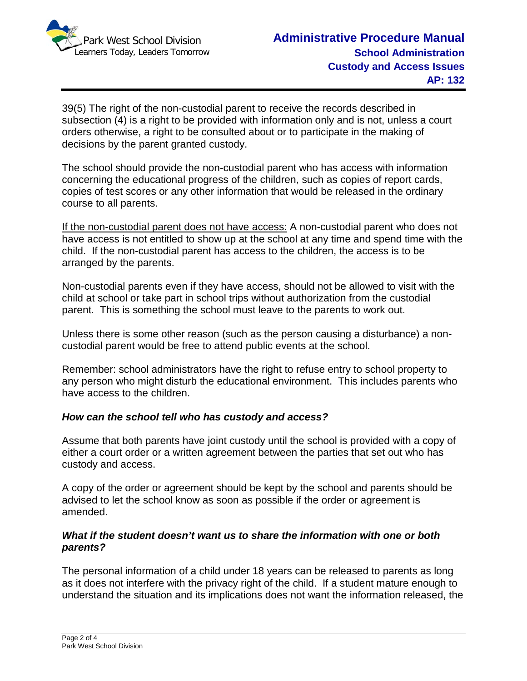

39(5) The right of the non-custodial parent to receive the records described in subsection (4) is a right to be provided with information only and is not, unless a court orders otherwise, a right to be consulted about or to participate in the making of decisions by the parent granted custody.

The school should provide the non-custodial parent who has access with information concerning the educational progress of the children, such as copies of report cards, copies of test scores or any other information that would be released in the ordinary course to all parents.

If the non-custodial parent does not have access: A non-custodial parent who does not have access is not entitled to show up at the school at any time and spend time with the child. If the non-custodial parent has access to the children, the access is to be arranged by the parents.

Non-custodial parents even if they have access, should not be allowed to visit with the child at school or take part in school trips without authorization from the custodial parent. This is something the school must leave to the parents to work out.

Unless there is some other reason (such as the person causing a disturbance) a noncustodial parent would be free to attend public events at the school.

Remember: school administrators have the right to refuse entry to school property to any person who might disturb the educational environment. This includes parents who have access to the children.

## *How can the school tell who has custody and access?*

Assume that both parents have joint custody until the school is provided with a copy of either a court order or a written agreement between the parties that set out who has custody and access.

A copy of the order or agreement should be kept by the school and parents should be advised to let the school know as soon as possible if the order or agreement is amended.

### *What if the student doesn't want us to share the information with one or both parents?*

The personal information of a child under 18 years can be released to parents as long as it does not interfere with the privacy right of the child. If a student mature enough to understand the situation and its implications does not want the information released, the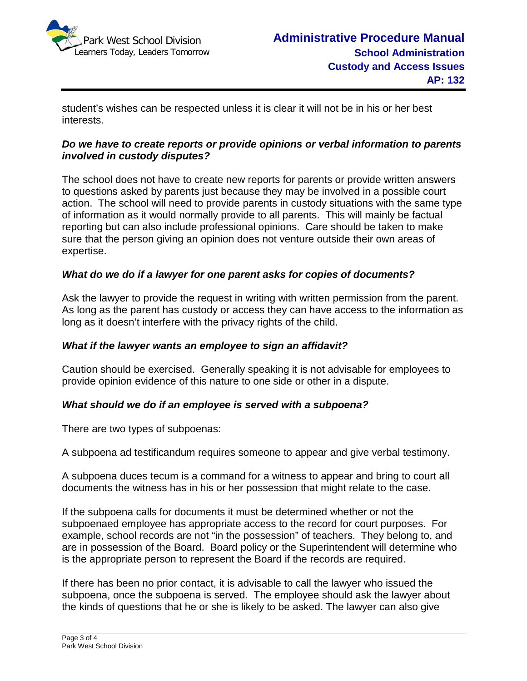

student's wishes can be respected unless it is clear it will not be in his or her best interests.

# *Do we have to create reports or provide opinions or verbal information to parents involved in custody disputes?*

The school does not have to create new reports for parents or provide written answers to questions asked by parents just because they may be involved in a possible court action. The school will need to provide parents in custody situations with the same type of information as it would normally provide to all parents. This will mainly be factual reporting but can also include professional opinions. Care should be taken to make sure that the person giving an opinion does not venture outside their own areas of expertise.

## *What do we do if a lawyer for one parent asks for copies of documents?*

Ask the lawyer to provide the request in writing with written permission from the parent. As long as the parent has custody or access they can have access to the information as long as it doesn't interfere with the privacy rights of the child.

## *What if the lawyer wants an employee to sign an affidavit?*

Caution should be exercised. Generally speaking it is not advisable for employees to provide opinion evidence of this nature to one side or other in a dispute.

## *What should we do if an employee is served with a subpoena?*

There are two types of subpoenas:

A subpoena ad testificandum requires someone to appear and give verbal testimony.

A subpoena duces tecum is a command for a witness to appear and bring to court all documents the witness has in his or her possession that might relate to the case.

If the subpoena calls for documents it must be determined whether or not the subpoenaed employee has appropriate access to the record for court purposes. For example, school records are not "in the possession" of teachers. They belong to, and are in possession of the Board. Board policy or the Superintendent will determine who is the appropriate person to represent the Board if the records are required.

If there has been no prior contact, it is advisable to call the lawyer who issued the subpoena, once the subpoena is served. The employee should ask the lawyer about the kinds of questions that he or she is likely to be asked. The lawyer can also give